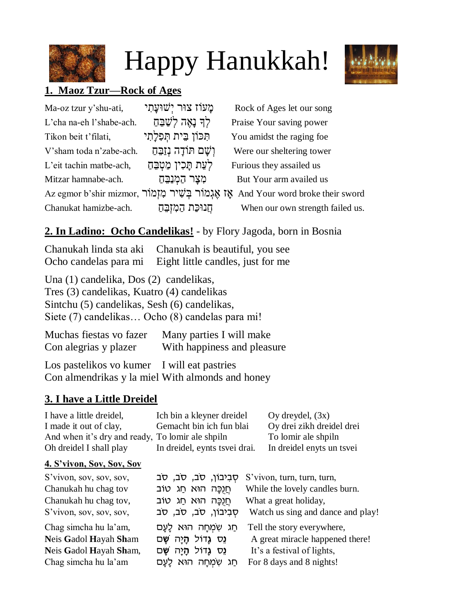

# Happy Hanukkah!



# **1. Maoz Tzur—Rock of Ages**

| Ma-oz tzur y'shu-ati,    | ַמֲעֹוֹז צוּר יִשׁוּעֲתָי | Rock of Ages let our song                                                          |
|--------------------------|---------------------------|------------------------------------------------------------------------------------|
| L'cha na-eh l'shabe-ach. | לִךְ נָאֵה לִשַּׁבֵּחַ    | Praise Your saving power                                                           |
| Tikon beit t'filati,     | תִּכּוֹן בֵית תִּפְלַתִי  | You amidst the raging foe                                                          |
| V'sham toda n'zabe-ach.  | וְשָׁם תּוֹדָה נִזַבֵּחַ  | Were our sheltering tower                                                          |
| L'eit tachin matbe-ach,  | לְעֵת תָּכִין מַטְבֵּחַ   | Furious they assailed us                                                           |
| Mitzar hamnabe-ach.      | מִצַר הַמְנַבֵּהַ         | But Your arm availed us                                                            |
|                          |                           | Az egmor b'shir mizmor, אֲזָמוֹר בְּשִׁיר מְזָמוֹר And Your word broke their sword |
| Chanukat hamizbe-ach.    | חֲנוּכַת הַמְזִבֵּהַ      | When our own strength failed us.                                                   |

# **2. In Ladino: Ocho Candelikas!** - by Flory Jagoda, born in Bosnia

Chanukah linda sta aki Chanukah is beautiful, you see Ocho candelas para mi Eight little candles, just for me

Una (1) candelika, Dos (2) candelikas, Tres (3) candelikas, Kuatro (4) candelikas Sintchu (5) candelikas, Sesh (6) candelikas, Siete (7) candelikas… Ocho (8) candelas para mi!

| Muchas fiestas vo fazer | Many parties I will make    |
|-------------------------|-----------------------------|
| Con alegrias y plazer   | With happiness and pleasure |

Los pastelikos vo kumer I will eat pastries Con almendrikas y la miel With almonds and honey

# **3. I have a Little Dreidel**

| I have a little dreidel,                         | Ich bin a kleyner dreidel     | $Oy$ dreydel, $(3x)$      |
|--------------------------------------------------|-------------------------------|---------------------------|
| I made it out of clay,                           | Gemacht bin ich fun blai      | Oy drei zikh dreidel drei |
| And when it's dry and ready, To lomir ale shpiln |                               | To lomir ale shpiln       |
| Oh dreidel I shall play                          | In dreidel, eynts tsvei drai. | In dreidel enyts un tsvei |

## **4. S'vivon, Sov, Sov, Sov**

| S'vivon, sov, sov, sov, | סְבְיבון, סב, סב, סב     | S'vivon, turn, turn, turn,        |
|-------------------------|--------------------------|-----------------------------------|
| Chanukah hu chag tov    | ּחֵנֻכָּה הוּא חַג טוֹב  | While the lovely candles burn.    |
| Chanukah hu chag tov,   | ּחֲנֻכָּה הוּא חַג טוֹב  | What a great holiday,             |
| S'vivon, sov, sov, sov, | סִבְיְבוֹן, סב, סב, סב   | Watch us sing and dance and play! |
| Chag simcha hu la'am,   | ְחַג שָׂמְחָה הוּא לָעָם | Tell the story everywhere,        |
| Neis Gadol Hayah Sham   | נֻס גַדוֹל הָיַה שַׁם    | A great miracle happened there!   |
| Neis Gadol Hayah Sham,  | נֵס גַדוֹל הָיַה שַׁם    | It's a festival of lights,        |
| Chag simcha hu la'am    | חַג שָׂמְחָה הוּא לָעַם  | For 8 days and 8 nights!          |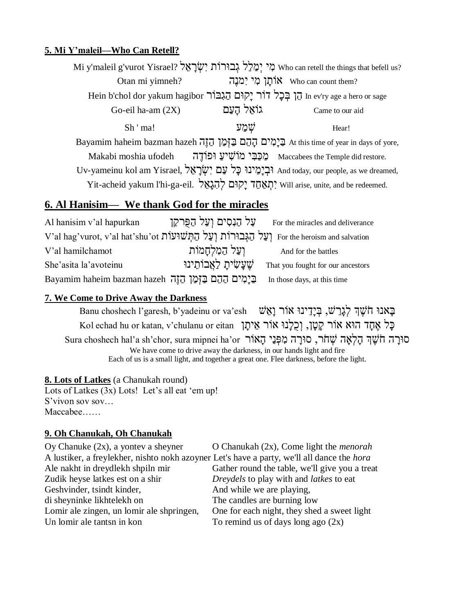#### **5. Mi Y'maleil—Who Can Retell?**

Mi y'maleil g'vurot Yisrael? לִי יְמַלֵּל גְּבוּרוֹת יִשְׂרָאֵל Who can retell the things that befell us? Otan mi yimneh?<br>**גוֹתן מִי** יִמנֵה ?who can count them mi Hein b'chol dor yakum hagibor הַן בְּכָל דוֹר יָקוּם הַגִּבּוֹר In ev'ry age a hero or sage  $\text{Go-eil ha-am (2X)}$  גּוֹאֱל הַעֲם Came to our aid  $\mathsf{Sh}$  ' ma!  $\qquad \qquad \qquad \mathsf{W}$ ימַע  $\qquad \qquad \mathsf{H}$ ear! Bayamim haheim bazman hazeh בַּיָמִים הָהֵם בַּזְמַן הַזֶה At this time of year in days of yore, Makabi moshia ufodeh מַכַּבִּי מוֹשִׁיעַ וּפוֹדֶה Makabi moshia ufodeh מַכַּבִּי מוֹשִׁיעַ Uv-yameinu kol am Yisrael, וּבְיַמֵינוּ כַּל עַם יְשָׂרָאֵל And today, our people, as we dreamed, Yit-acheid yakum l'hi-ga-eil. יְתְאֲחֶד יַקוּם לְהָגֵאֵל Will arise, unite, and be redeemed.

# **6. Al Hanisim— We thank God for the miracles**

deliverance על הנסים ועל הפרקן For the miracles and deliverance V'al hag'vurot, v'al hat'shu'ot וַעֲל הַגְּבוּרוֹת וְעַל הַחִּשׁוּעוֹת (עַל הַגַּבוּרוֹת יִ וְ עַל הַמְלְחֲמוֹת And for the battles She'asita la'avoteinu *שׁעֲש*ִייָת לְאֲבוֹתֵינוּ this time בַּיָמִים הַהֶם בַּזְמַן הַזֶה בּוֹאַ In those days, at this time

#### **7. We Come to Drive Away the Darkness**

Eאנוּ חֹשֶׁךְ לְגַרֲשׁ, בְּיָדֵינוּ אוֹר וַאֲשׁ Panu choshech l'garesh, b'yadeinu or va'esh بِقِيلاً , ה כְּל אֶחֶד הוּא אוֹר קְטֵן, וְכָלְנוּ אוֹר אֵיתֵן Kol echad hu or katan, v'chulanu or eitan סוּרָה חֹשֵׁךְ הָלְאָה שִׁחֹר, סוּרַה מִפְּנֵי הָאוֹר Sura choshech hal'a sh'chor, sura mipnei ha'or We have come to drive away the darkness, in our hands light and fire Each of us is a small light, and together a great one. Flee darkness, before the light.

#### **8. Lots of Latkes** (a Chanukah round)

Lots of Latkes (3x) Lots! Let's all eat 'em up! S'vivon sov sov… Maccabee……

#### **9. Oh Chanukah, Oh Chanukah**

| Oy Chanuke $(2x)$ , a yontev a sheyner                                                            | O Chanukah $(2x)$ , Come light the <i>menorah</i>     |
|---------------------------------------------------------------------------------------------------|-------------------------------------------------------|
| A lustiker, a freylekher, nishto nokh azoyner Let's have a party, we'll all dance the <i>hora</i> |                                                       |
| Ale nakht in dreydlekh shpiln mir                                                                 | Gather round the table, we'll give you a treat        |
| Zudik heyse latkes est on a shir                                                                  | <i>Dreydels</i> to play with and <i>latkes</i> to eat |
| Geshvinder, tsindt kinder,                                                                        | And while we are playing,                             |
| di sheyninke likhtelekh on                                                                        | The candles are burning low                           |
| Lomir ale zingen, un lomir ale shpringen,                                                         | One for each night, they shed a sweet light           |
| Un lomir ale tantsn in kon                                                                        | To remind us of days long ago $(2x)$                  |